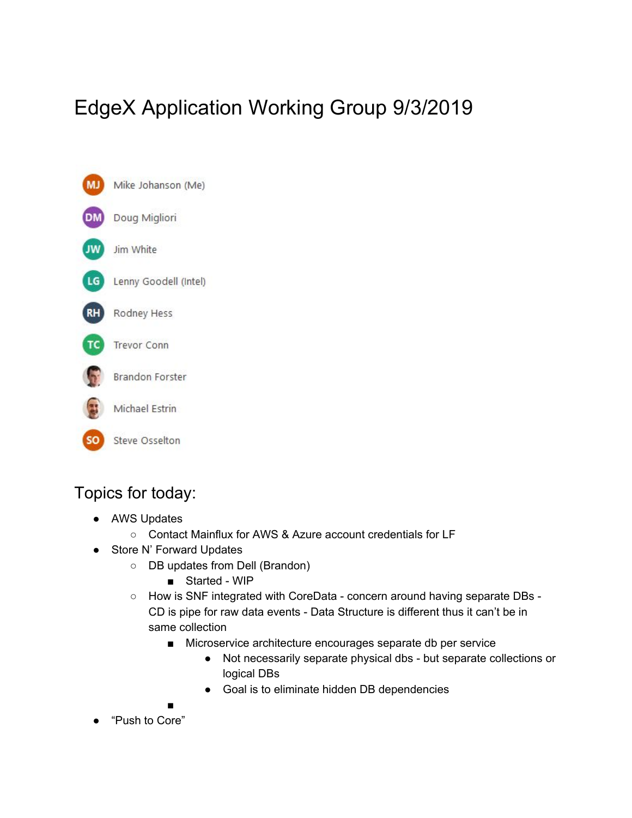# EdgeX Application Working Group 9/3/2019



# Topics for today:

- AWS Updates
	- Contact Mainflux for AWS & Azure account credentials for LF
- Store N' Forward Updates
	- DB updates from Dell (Brandon)
		- Started WIP
	- How is SNF integrated with CoreData concern around having separate DBs CD is pipe for raw data events - Data Structure is different thus it can't be in same collection
		- Microservice architecture encourages separate db per service
			- Not necessarily separate physical dbs but separate collections or logical DBs
			- Goal is to eliminate hidden DB dependencies

■

● "Push to Core"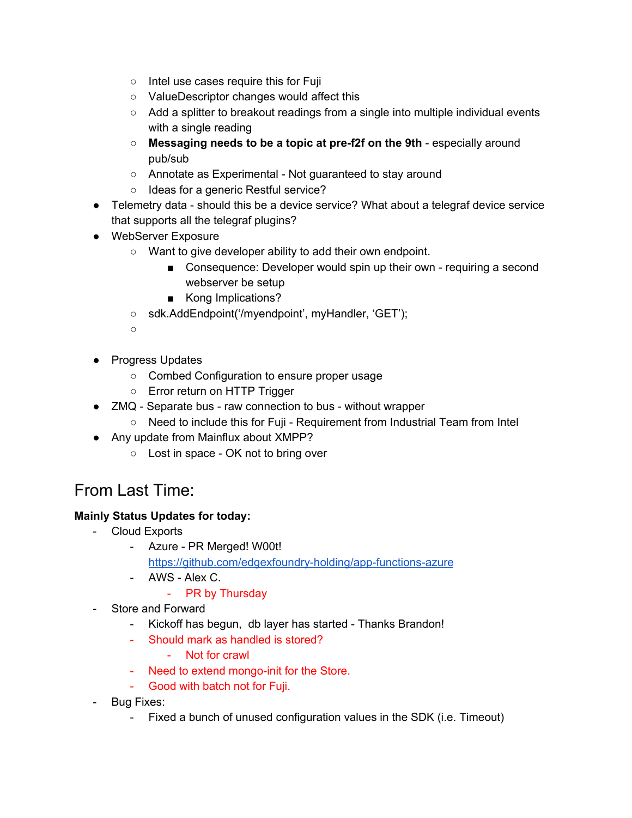- Intel use cases require this for Fuji
- ValueDescriptor changes would affect this
- Add a splitter to breakout readings from a single into multiple individual events with a single reading
- **Messaging needs to be a topic at pre-f2f on the 9th** especially around pub/sub
- Annotate as Experimental Not guaranteed to stay around
- Ideas for a generic Restful service?
- Telemetry data should this be a device service? What about a telegraf device service that supports all the telegraf plugins?
- WebServer Exposure
	- Want to give developer ability to add their own endpoint.
		- Consequence: Developer would spin up their own requiring a second webserver be setup
		- Kong Implications?
	- sdk.AddEndpoint('/myendpoint', myHandler, 'GET');

○

- Progress Updates
	- Combed Configuration to ensure proper usage
	- Error return on HTTP Trigger
- ZMQ Separate bus raw connection to bus without wrapper
	- Need to include this for Fuji Requirement from Industrial Team from Intel
- Any update from Mainflux about XMPP?
	- Lost in space OK not to bring over

# From Last Time:

### **Mainly Status Updates for today:**

- Cloud Exports
	- Azure PR Merged! W00t! <https://github.com/edgexfoundry-holding/app-functions-azure>
	- AWS Alex C.
		- PR by Thursday
- Store and Forward
	- Kickoff has begun, db layer has started Thanks Brandon!
	- Should mark as handled is stored?
		- Not for crawl
	- Need to extend mongo-init for the Store.
	- Good with batch not for Fuji.
- Bug Fixes:
	- Fixed a bunch of unused configuration values in the SDK (i.e. Timeout)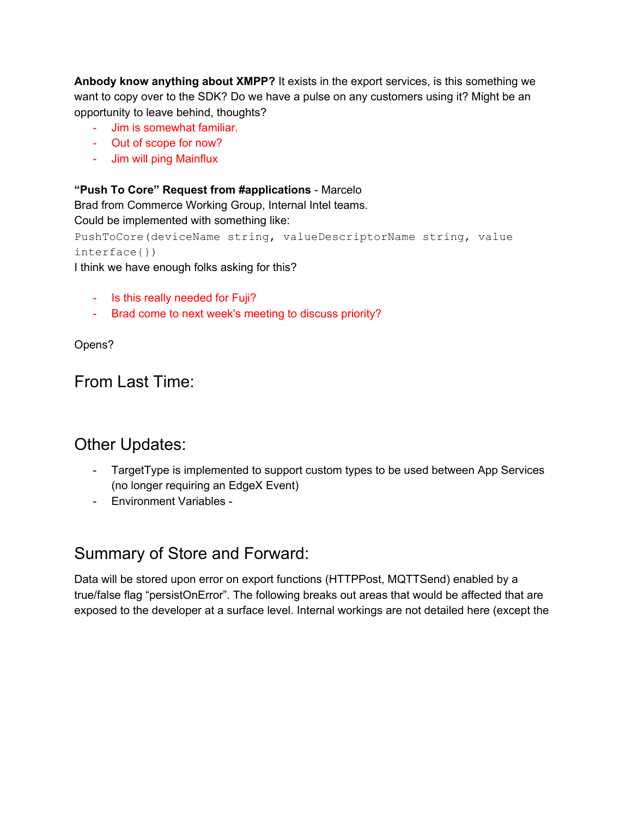**Anbody know anything about XMPP?** It exists in the export services, is this something we want to copy over to the SDK? Do we have a pulse on any customers using it? Might be an opportunity to leave behind, thoughts?

- Jim is somewhat familiar.
- Out of scope for now?
- Jim will ping Mainflux

### **"Push To Core" Request from #applications** - Marcelo

Brad from Commerce Working Group, Internal Intel teams.

Could be implemented with something like:

```
PushToCore(deviceName string, valueDescriptorName string, value
interface{})
```
I think we have enough folks asking for this?

- Is this really needed for Fuji?
- Brad come to next week's meeting to discuss priority?

Opens?

# From Last Time:

# Other Updates:

- TargetType is implemented to support custom types to be used between App Services (no longer requiring an EdgeX Event)
- Environment Variables -

# Summary of Store and Forward:

Data will be stored upon error on export functions (HTTPPost, MQTTSend) enabled by a true/false flag "persistOnError". The following breaks out areas that would be affected that are exposed to the developer at a surface level. Internal workings are not detailed here (except the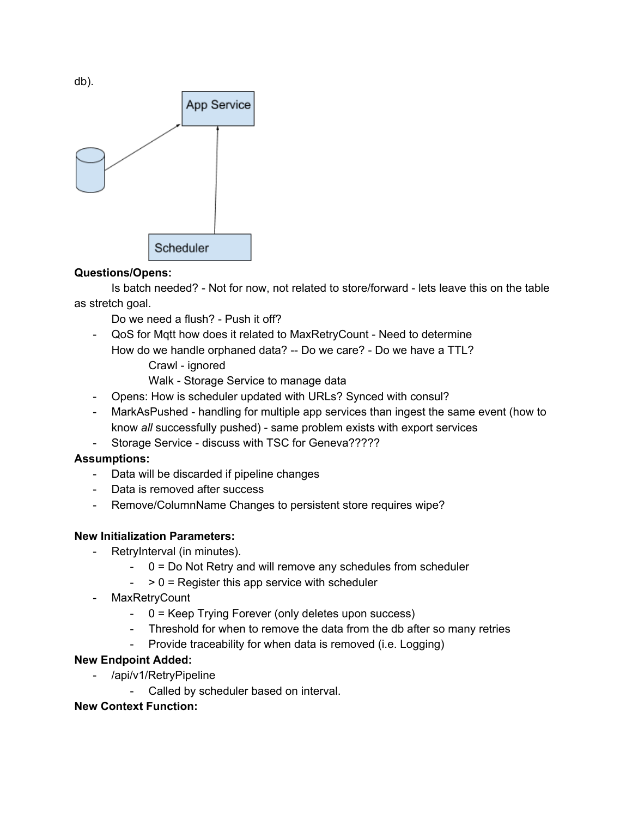

### **Questions/Opens:**

Is batch needed? - Not for now, not related to store/forward - lets leave this on the table as stretch goal.

Do we need a flush? - Push it off?

- QoS for Mqtt how does it related to MaxRetryCount Need to determine How do we handle orphaned data? -- Do we care? - Do we have a TTL?
	- Crawl ignored
	- Walk Storage Service to manage data
- Opens: How is scheduler updated with URLs? Synced with consul?
- MarkAsPushed handling for multiple app services than ingest the same event (how to know *all* successfully pushed) - same problem exists with export services
- Storage Service discuss with TSC for Geneva?????

#### **Assumptions:**

- Data will be discarded if pipeline changes
- Data is removed after success
- Remove/ColumnName Changes to persistent store requires wipe?

#### **New Initialization Parameters:**

- RetryInterval (in minutes).
	- $0 = Do$  Not Retry and will remove any schedules from scheduler
	- $-$  > 0 = Register this app service with scheduler
- **MaxRetryCount** 
	- 0 = Keep Trying Forever (only deletes upon success)
	- Threshold for when to remove the data from the db after so many retries
	- Provide traceability for when data is removed (i.e. Logging)

#### **New Endpoint Added:**

- /api/v1/RetryPipeline
	- Called by scheduler based on interval.

#### **New Context Function:**

db).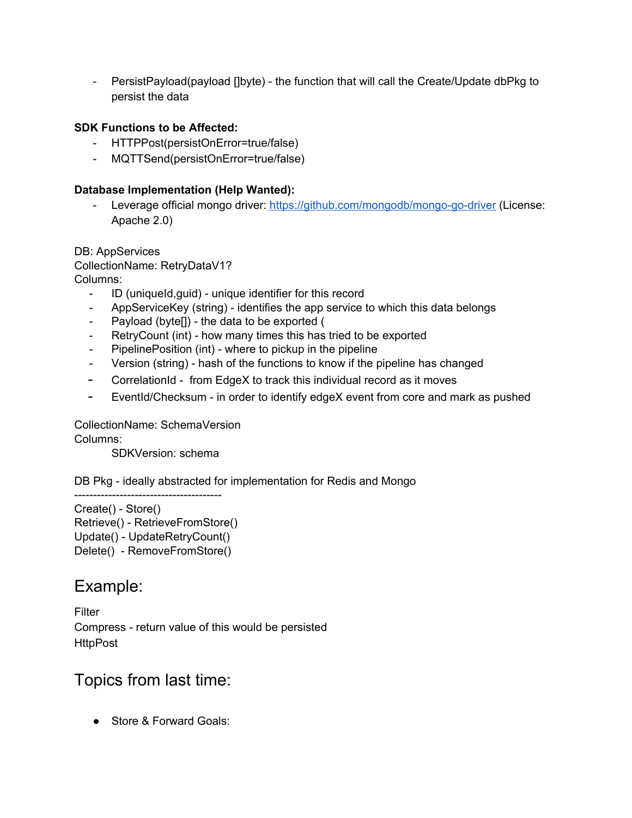- PersistPayload(payload []byte) - the function that will call the Create/Update dbPkg to persist the data

### **SDK Functions to be Affected:**

- HTTPPost(persistOnError=true/false)
- MQTTSend(persistOnError=true/false)

### **Database Implementation (Help Wanted):**

Leverage official mongo driver: <https://github.com/mongodb/mongo-go-driver> (License: Apache 2.0)

DB: AppServices

CollectionName: RetryDataV1?

Columns:

- ID (uniqueId, quid) unique identifier for this record
- AppServiceKey (string) identifies the app service to which this data belongs
- Payload (byte[]) the data to be exported (
- RetryCount (int) how many times this has tried to be exported
- PipelinePosition (int) where to pickup in the pipeline
- Version (string) hash of the functions to know if the pipeline has changed
- CorrelationId from EdgeX to track this individual record as it moves
- EventId/Checksum in order to identify edgeX event from core and mark as pushed

CollectionName: SchemaVersion

Columns:

SDKVersion: schema

DB Pkg - ideally abstracted for implementation for Redis and Mongo

--------------------------------------- Create() - Store() Retrieve() - RetrieveFromStore() Update() - UpdateRetryCount() Delete() - RemoveFromStore()

### Example:

Filter Compress - return value of this would be persisted **HttpPost** 

## Topics from last time:

● Store & Forward Goals: